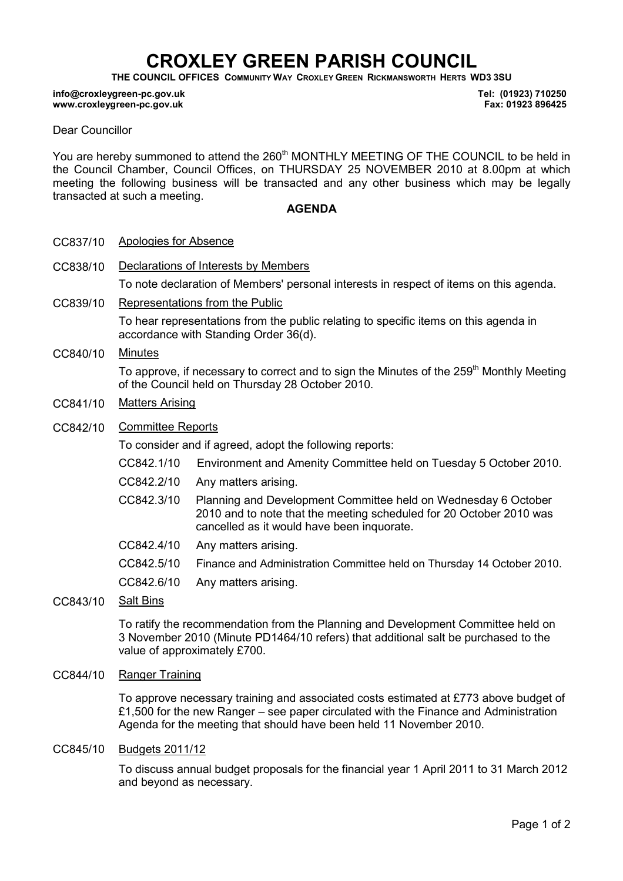# CROXLEY GREEN PARISH COUNCIL

THE COUNCIL OFFICES COMMUNITY WAY CROXLEY GREEN RICKMANSWORTH HERTS WD3 3SU

#### info@croxleygreen-pc.gov.uk www.croxleygreen-pc.gov.uk

Tel: (01923) 710250 Fax: 01923 896425

#### Dear Councillor

You are hereby summoned to attend the 260<sup>th</sup> MONTHLY MEETING OF THE COUNCIL to be held in the Council Chamber, Council Offices, on THURSDAY 25 NOVEMBER 2010 at 8.00pm at which meeting the following business will be transacted and any other business which may be legally transacted at such a meeting.

### AGENDA

- CC837/10 Apologies for Absence
- CC838/10 Declarations of Interests by Members To note declaration of Members' personal interests in respect of items on this agenda.
- CC839/10 Representations from the Public

To hear representations from the public relating to specific items on this agenda in accordance with Standing Order 36(d).

CC840/10 Minutes

To approve, if necessary to correct and to sign the Minutes of the 259<sup>th</sup> Monthly Meeting of the Council held on Thursday 28 October 2010.

- CC841/10 Matters Arising
- CC842/10 Committee Reports

To consider and if agreed, adopt the following reports:

- CC842.1/10 Environment and Amenity Committee held on Tuesday 5 October 2010.
- CC842.2/10 Any matters arising.
- CC842.3/10 Planning and Development Committee held on Wednesday 6 October 2010 and to note that the meeting scheduled for 20 October 2010 was cancelled as it would have been inquorate.
- CC842.4/10 Any matters arising.
- CC842.5/10 Finance and Administration Committee held on Thursday 14 October 2010.
- CC842.6/10 Any matters arising.
- CC843/10 Salt Bins

To ratify the recommendation from the Planning and Development Committee held on 3 November 2010 (Minute PD1464/10 refers) that additional salt be purchased to the value of approximately £700.

CC844/10 Ranger Training

To approve necessary training and associated costs estimated at £773 above budget of £1,500 for the new Ranger – see paper circulated with the Finance and Administration Agenda for the meeting that should have been held 11 November 2010.

CC845/10 Budgets 2011/12

To discuss annual budget proposals for the financial year 1 April 2011 to 31 March 2012 and beyond as necessary.